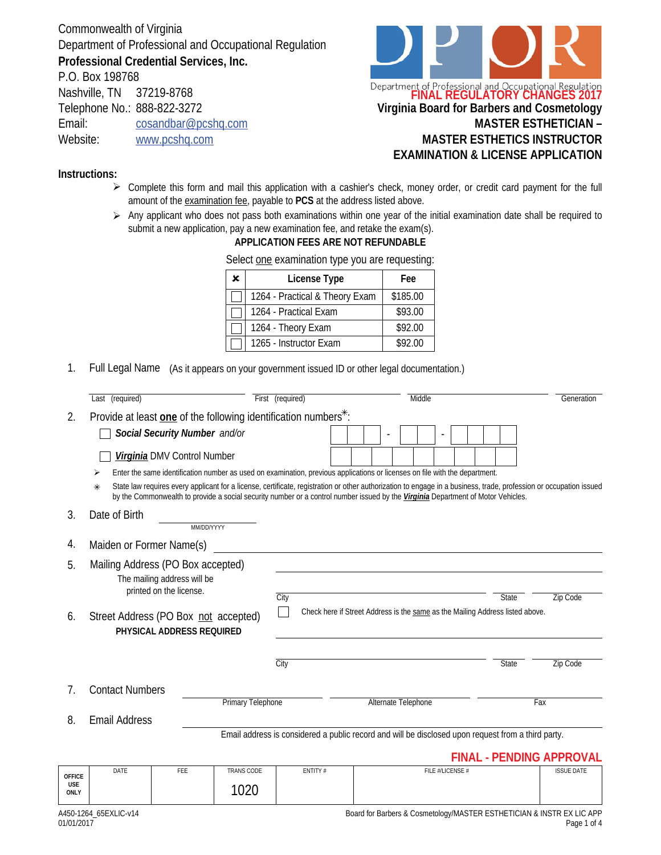Commonwealth of Virginia Department of Professional and Occupational Regulation **Professional Credential Services, Inc.**

P.O. Box 198768 Nashville, TN 37219-8768 Telephone No.: 888-822-3272 Email: cosandbar@pcshq.com Website: www.pcshq.com



## **Instructions:**

- $\triangleright$  Complete this form and mail this application with a cashier's check, money order, or credit card payment for the full amount of the examination fee, payable to **PCS** at the address listed above.
- $\triangleright$  Any applicant who does not pass both examinations within one year of the initial examination date shall be required to submit a new application, pay a new examination fee, and retake the exam(s).

## **APPLICATION FEES ARE NOT REFUNDABLE**

| × | License Type                   | Fee      |
|---|--------------------------------|----------|
|   | 1264 - Practical & Theory Exam | \$185.00 |
|   | 1264 - Practical Exam          | \$93.00  |
|   | 1264 - Theory Exam             | \$92.00  |
|   | 1265 - Instructor Exam         | \$92.00  |

Select one examination type you are requesting:

1. Full Legal Name (As it appears on your government issued ID or other legal documentation.)

|                                            | Last (required)                                                             |                                                        |                                                                                                                                                                                                                                                                                                                                                                                                                                       | First (required)                                                                                   | Middle                                                                        |  |                     |  |                  |  |  | Generation |  |                                 |  |
|--------------------------------------------|-----------------------------------------------------------------------------|--------------------------------------------------------|---------------------------------------------------------------------------------------------------------------------------------------------------------------------------------------------------------------------------------------------------------------------------------------------------------------------------------------------------------------------------------------------------------------------------------------|----------------------------------------------------------------------------------------------------|-------------------------------------------------------------------------------|--|---------------------|--|------------------|--|--|------------|--|---------------------------------|--|
| 2.                                         | Provide at least one of the following identification numbers <sup>*</sup> : |                                                        |                                                                                                                                                                                                                                                                                                                                                                                                                                       |                                                                                                    |                                                                               |  |                     |  |                  |  |  |            |  |                                 |  |
|                                            |                                                                             | Social Security Number and/or                          |                                                                                                                                                                                                                                                                                                                                                                                                                                       |                                                                                                    |                                                                               |  |                     |  | ÷,               |  |  |            |  |                                 |  |
|                                            |                                                                             | Virginia DMV Control Number                            |                                                                                                                                                                                                                                                                                                                                                                                                                                       |                                                                                                    |                                                                               |  |                     |  |                  |  |  |            |  |                                 |  |
|                                            | ⋇                                                                           |                                                        | Enter the same identification number as used on examination, previous applications or licenses on file with the department.<br>State law requires every applicant for a license, certificate, registration or other authorization to engage in a business, trade, profession or occupation issued<br>by the Commonwealth to provide a social security number or a control number issued by the Virginia Department of Motor Vehicles. |                                                                                                    |                                                                               |  |                     |  |                  |  |  |            |  |                                 |  |
| 3.                                         | Date of Birth                                                               |                                                        | MM/DD/YYYY                                                                                                                                                                                                                                                                                                                                                                                                                            |                                                                                                    |                                                                               |  |                     |  |                  |  |  |            |  |                                 |  |
| 4.                                         | Maiden or Former Name(s)                                                    |                                                        |                                                                                                                                                                                                                                                                                                                                                                                                                                       |                                                                                                    |                                                                               |  |                     |  |                  |  |  |            |  |                                 |  |
| 5.                                         | Mailing Address (PO Box accepted)                                           | The mailing address will be<br>printed on the license. |                                                                                                                                                                                                                                                                                                                                                                                                                                       | City                                                                                               |                                                                               |  |                     |  |                  |  |  | State      |  | <b>Zip Code</b>                 |  |
| 6.                                         | Street Address (PO Box not accepted)                                        | PHYSICAL ADDRESS REQUIRED                              |                                                                                                                                                                                                                                                                                                                                                                                                                                       |                                                                                                    | Check here if Street Address is the same as the Mailing Address listed above. |  |                     |  |                  |  |  |            |  |                                 |  |
|                                            |                                                                             |                                                        |                                                                                                                                                                                                                                                                                                                                                                                                                                       | $\overline{C}$ ity                                                                                 |                                                                               |  |                     |  |                  |  |  | State      |  | Zip Code                        |  |
| 7.                                         | <b>Contact Numbers</b>                                                      |                                                        | <b>Primary Telephone</b>                                                                                                                                                                                                                                                                                                                                                                                                              |                                                                                                    |                                                                               |  | Alternate Telephone |  |                  |  |  |            |  | Fax                             |  |
| 8.                                         | <b>Email Address</b>                                                        |                                                        |                                                                                                                                                                                                                                                                                                                                                                                                                                       |                                                                                                    |                                                                               |  |                     |  |                  |  |  |            |  |                                 |  |
|                                            |                                                                             |                                                        |                                                                                                                                                                                                                                                                                                                                                                                                                                       | Email address is considered a public record and will be disclosed upon request from a third party. |                                                                               |  |                     |  |                  |  |  |            |  |                                 |  |
|                                            |                                                                             |                                                        |                                                                                                                                                                                                                                                                                                                                                                                                                                       |                                                                                                    |                                                                               |  |                     |  |                  |  |  |            |  | <b>FINAL - PENDING APPROVAL</b> |  |
| <b>OFFICE</b><br><b>USE</b><br><b>ONLY</b> | DATE                                                                        | FEE                                                    | <b>TRANS CODE</b><br>1020                                                                                                                                                                                                                                                                                                                                                                                                             | ENTITY#                                                                                            |                                                                               |  |                     |  | FILE #/LICENSE # |  |  |            |  | <b>ISSUE DATE</b>               |  |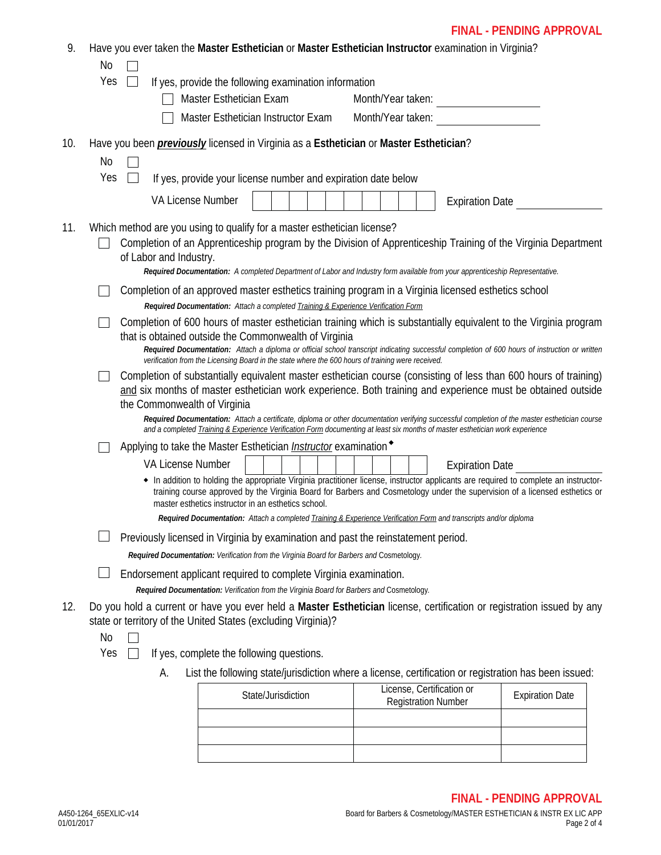## **FINAL - PENDING APPROVAL**

| 9.  | Have you ever taken the Master Esthetician or Master Esthetician Instructor examination in Virginia?                                                                                                                                                                 |  |
|-----|----------------------------------------------------------------------------------------------------------------------------------------------------------------------------------------------------------------------------------------------------------------------|--|
|     | No                                                                                                                                                                                                                                                                   |  |
|     | Yes<br>If yes, provide the following examination information                                                                                                                                                                                                         |  |
|     | Master Esthetician Exam<br>Month/Year taken:                                                                                                                                                                                                                         |  |
|     | Master Esthetician Instructor Exam<br>Month/Year taken:                                                                                                                                                                                                              |  |
| 10. | Have you been <i>previously</i> licensed in Virginia as a Esthetician or Master Esthetician?                                                                                                                                                                         |  |
|     | No                                                                                                                                                                                                                                                                   |  |
|     | Yes<br>If yes, provide your license number and expiration date below                                                                                                                                                                                                 |  |
|     | <b>VA License Number</b><br><b>Expiration Date</b>                                                                                                                                                                                                                   |  |
| 11. | Which method are you using to qualify for a master esthetician license?                                                                                                                                                                                              |  |
|     | Completion of an Apprenticeship program by the Division of Apprenticeship Training of the Virginia Department                                                                                                                                                        |  |
|     | of Labor and Industry.<br>Required Documentation: A completed Department of Labor and Industry form available from your apprenticeship Representative.                                                                                                               |  |
|     | Completion of an approved master esthetics training program in a Virginia licensed esthetics school                                                                                                                                                                  |  |
|     | Required Documentation: Attach a completed Training & Experience Verification Form                                                                                                                                                                                   |  |
|     | Completion of 600 hours of master esthetician training which is substantially equivalent to the Virginia program                                                                                                                                                     |  |
|     | that is obtained outside the Commonwealth of Virginia                                                                                                                                                                                                                |  |
|     | Required Documentation: Attach a diploma or official school transcript indicating successful completion of 600 hours of instruction or written<br>verification from the Licensing Board in the state where the 600 hours of training were received.                  |  |
|     | Completion of substantially equivalent master esthetician course (consisting of less than 600 hours of training)                                                                                                                                                     |  |
|     |                                                                                                                                                                                                                                                                      |  |
|     | and six months of master esthetician work experience. Both training and experience must be obtained outside                                                                                                                                                          |  |
|     | the Commonwealth of Virginia<br>Required Documentation: Attach a certificate, diploma or other documentation verifying successful completion of the master esthetician course                                                                                        |  |
|     | and a completed Training & Experience Verification Form documenting at least six months of master esthetician work experience                                                                                                                                        |  |
|     | Applying to take the Master Esthetician <i>Instructor</i> examination <sup>◆</sup>                                                                                                                                                                                   |  |
|     | <b>VA License Number</b><br><b>Expiration Date</b>                                                                                                                                                                                                                   |  |
|     | • In addition to holding the appropriate Virginia practitioner license, instructor applicants are required to complete an instructor-<br>training course approved by the Virginia Board for Barbers and Cosmetology under the supervision of a licensed esthetics or |  |
|     | master esthetics instructor in an esthetics school.                                                                                                                                                                                                                  |  |
|     | Required Documentation: Attach a completed Training & Experience Verification Form and transcripts and/or diploma                                                                                                                                                    |  |
|     | Previously licensed in Virginia by examination and past the reinstatement period.                                                                                                                                                                                    |  |
|     | Required Documentation: Verification from the Virginia Board for Barbers and Cosmetology.                                                                                                                                                                            |  |
|     | Endorsement applicant required to complete Virginia examination.                                                                                                                                                                                                     |  |
|     | Required Documentation: Verification from the Virginia Board for Barbers and Cosmetology.                                                                                                                                                                            |  |
| 12. | Do you hold a current or have you ever held a Master Esthetician license, certification or registration issued by any<br>state or territory of the United States (excluding Virginia)?                                                                               |  |
|     | No                                                                                                                                                                                                                                                                   |  |
|     | Yes<br>If yes, complete the following questions.                                                                                                                                                                                                                     |  |
|     | List the following state/jurisdiction where a license, certification or registration has been issued:<br>A.<br>License, Certification or                                                                                                                             |  |

| State/Jurisdiction | License, Certification or<br><b>Registration Number</b> | <b>Expiration Date</b> |
|--------------------|---------------------------------------------------------|------------------------|
|                    |                                                         |                        |
|                    |                                                         |                        |
|                    |                                                         |                        |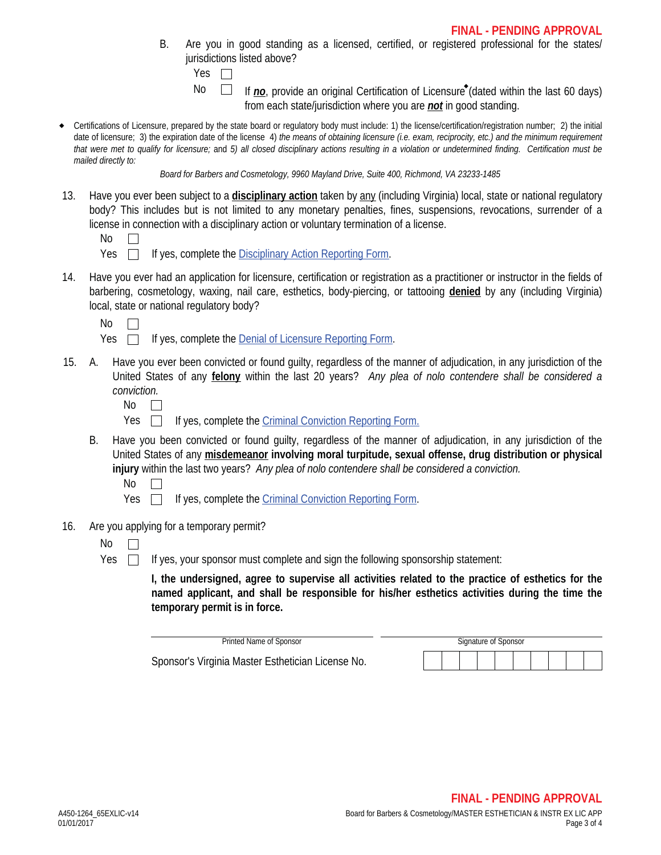B. Are you in good standing as a licensed, certified, or registered professional for the states/ jurisdictions listed above?

If *no*, provide an original Certification of Licensure<sup>\*</sup> (dated within the last 60 days) from each state/jurisdiction where you are *not* in good standing.

 Certifications of Licensure, prepared by the state board or regulatory body must include: 1) the license/certification/registration number; 2) the initial date of licensure; 3) the expiration date of the license 4) *the means of obtaining licensure (i.e. exam, reciprocity, etc.) and the minimum requirement that were met to qualify for licensure;* and *5) all closed disciplinary actions resulting in a violation or undetermined finding. Certification must be mailed directly to:*

*Board for Barbers and Cosmetology, 9960 Mayland Drive, Suite 400, Richmond, VA 23233-1485*

13. Have you ever been subject to a **disciplinary action** taken by any (including Virginia) local, state or national regulatory body? This includes but is not limited to any monetary penalties, fines, suspensions, revocations, surrender of a license in connection with a disciplinary action or voluntary termination of a license.

| M. |  |
|----|--|
|----|--|

- $Yes \Box$  If yes, complete the Disciplinary Action Reporting Form.
- 14. Have you ever had an application for licensure, certification or registration as a practitioner or instructor in the fields of barbering, cosmetology, waxing, nail care, esthetics, body-piercing, or tattooing **denied** by any (including Virginia) local, state or national regulatory body?

 $No$   $\Box$ 

| Yes |  | If yes, complete the Denial of Licensure Reporting Form. |  |  |  |
|-----|--|----------------------------------------------------------|--|--|--|
|     |  |                                                          |  |  |  |

- Have you ever been convicted or found quilty, regardless of the manner of adjudication, in any jurisdiction of the United States of any **felony** within the last 20 years? *Any plea of nolo contendere shall be considered a conviction.* 15.
	- No  $\Box$
	- Yes  $\Box$ If yes, complete the Criminal Conviction Reporting Form.
	- B. Have you been convicted or found guilty, regardless of the manner of adjudication, in any jurisdiction of the United States of any **misdemeanor involving moral turpitude, sexual offense, drug distribution or physical injury** within the last two years? *Any plea of nolo contendere shall be considered a conviction.*

No  $\Box$ 

- Yes  $\Box$  If yes, complete the Criminal Conviction Reporting Form.
- 16. Are you applying for a temporary permit?
	- No  $\Box$
	- Yes  $\Box$

If yes, your sponsor must complete and sign the following sponsorship statement:

**I, the undersigned, agree to supervise all activities related to the practice of esthetics for the named applicant, and shall be responsible for his/her esthetics activities during the time the temporary permit is in force.**

| Printed Name of Sponsor                           |  |  | Signature of Sponsor |  |  |  |  |  |  |  |  |
|---------------------------------------------------|--|--|----------------------|--|--|--|--|--|--|--|--|
| Sponsor's Virginia Master Esthetician License No. |  |  |                      |  |  |  |  |  |  |  |  |